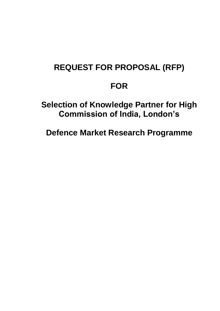# **REQUEST FOR PROPOSAL (RFP)**

# **FOR**

# **Selection of Knowledge Partner for High Commission of India, London's**

**Defence Market Research Programme**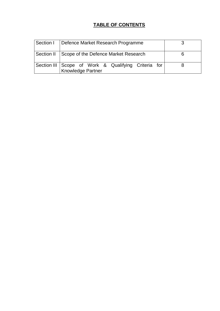# **TABLE OF CONTENTS**

| Section I   Defence Market Research Programme                              |  |
|----------------------------------------------------------------------------|--|
| Section II   Scope of the Defence Market Research                          |  |
| Section III   Scope of Work & Qualifying Criteria for<br>Knowledge Partner |  |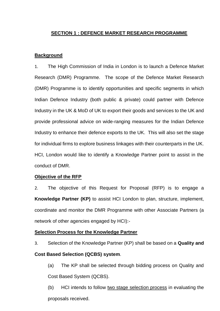## **SECTION 1 : DEFENCE MARKET RESEARCH PROGRAMME**

#### **Background**

1. The High Commission of India in London is to launch a Defence Market Research (DMR) Programme. The scope of the Defence Market Research (DMR) Programme is to identify opportunities and specific segments in which Indian Defence Industry (both public & private) could partner with Defence Industry in the UK & MoD of UK to export their goods and services to the UK and provide professional advice on wide-ranging measures for the Indian Defence Industry to enhance their defence exports to the UK. This will also set the stage for individual firms to explore business linkages with their counterparts in the UK. HCI, London would like to identify a Knowledge Partner point to assist in the conduct of DMR.

#### **Objective of the RFP**

2. The objective of this Request for Proposal (RFP) is to engage a **Knowledge Partner (KP)** to assist HCI London to plan, structure, implement, coordinate and monitor the DMR Programme with other Associate Partners (a network of other agencies engaged by HCI):-

#### **Selection Process for the Knowledge Partner**

3. Selection of the Knowledge Partner (KP) shall be based on a **Quality and** 

#### **Cost Based Selection (QCBS) system**.

(a) The KP shall be selected through bidding process on Quality and Cost Based System (QCBS).

(b) HCI intends to follow two stage selection process in evaluating the proposals received.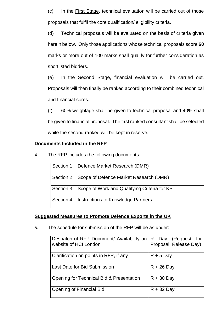(c) In the First Stage, technical evaluation will be carried out of those proposals that fulfil the core qualification/ eligibility criteria.

(d) Technical proposals will be evaluated on the basis of criteria given herein below. Only those applications whose technical proposals score **60**  marks or more out of 100 marks shall qualify for further consideration as shortlisted bidders.

(e) In the Second Stage, financial evaluation will be carried out. Proposals will then finally be ranked according to their combined technical and financial sores.

(f) 60% weightage shall be given to technical proposal and 40% shall be given to financial proposal. The first ranked consultant shall be selected while the second ranked will be kept in reserve.

#### **Documents Included in the RFP**

4. The RFP includes the following documents:-

|           | Section 1   Defence Market Research (DMR)          |
|-----------|----------------------------------------------------|
|           | Section 2   Scope of Defence Market Research (DMR) |
| Section 3 | Scope of Work and Qualifying Criteria for KP       |
| Section 4 | Instructions to Knowledge Partners                 |

#### **Suggested Measures to Promote Defence Exports in the UK**

5. The schedule for submission of the RFP will be as under:-

| Despatch of RFP Document/ Availability on   R Day (Request for<br>website of HCI London | Proposal Release Day) |
|-----------------------------------------------------------------------------------------|-----------------------|
| Clarification on points in RFP, if any                                                  | $R + 5$ Day           |
| Last Date for Bid Submission                                                            | $R + 26$ Day          |
| Opening for Technical Bid & Presentation                                                | $R + 30$ Day          |
| <b>Opening of Financial Bid</b>                                                         | $R + 32$ Day          |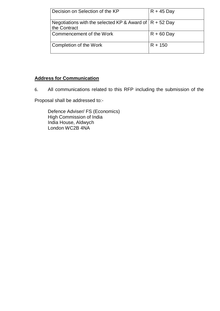| Decision on Selection of the KP                                            | $R + 45$ Day |
|----------------------------------------------------------------------------|--------------|
| Negotiations with the selected KP & Award of $ R + 52$ Day<br>the Contract |              |
| Commencement of the Work                                                   | $R + 60$ Day |
| Completion of the Work                                                     | $R + 150$    |

## **Address for Communication**

6. All communications related to this RFP including the submission of the

Proposal shall be addressed to:-

Defence Adviser/ FS (Economics) High Commission of India India House, Aldwych London WC2B 4NA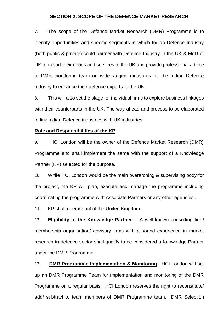#### **SECTION 2: SCOPE OF THE DEFENCE MARKET RESEARCH**

7. The scope of the Defence Market Research (DMR) Programme is to identify opportunities and specific segments in which Indian Defence Industry (both public & private) could partner with Defence Industry in the UK & MoD of UK to export their goods and services to the UK and provide professional advice to DMR monitoring team on wide-ranging measures for the Indian Defence Industry to enhance their defence exports to the UK.

8. This will also set the stage for individual firms to explore business linkages with their counterparts in the UK. The way ahead and process to be elaborated to link Indian Defence industries with UK industries.

#### **Role and Responsibilities of the KP**

9. HCI London will be the owner of the Defence Market Research (DMR) Programme and shall implement the same with the support of a Knowledge Partner (KP) selected for the purpose.

10. While HCI London would be the main overarching & supervising body for the project, the KP will plan, execute and manage the programme including coordinating the programme with Associate Partners or any other agencies .

11. KP shall operate out of the United Kingdom.

12. **Eligibility of the Knowledge Partner**. A well-known consulting firm/ membership organisation/ advisory firms with a sound experience in market research **in** defence sector shall qualify to be considered a Knowledge Partner under the DMR Programme.

13. **DMR Programme Implementation & Monitoring**. HCI London will set up an DMR Programme Team for implementation and monitoring of the DMR Programme on a regular basis. HCI London reserves the right to reconstitute/ add/ subtract to team members of DMR Programme team. DMR Selection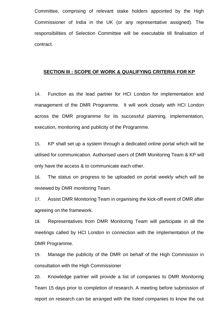Committee, comprising of relevant stake holders appointed by the High Commissioner of India in the UK (or any representative assigned). The responsibilities of Selection Committee will be executable till finalisation of contract.

#### **SECTION III : SCOPE OF WORK & QUALIFYING CRITERIA FOR KP**

14. Function as the lead partner for HCI London for implementation and management of the DMR Programme. It will work closely with HCI London across the DMR programme for its successful planning, implementation, execution, monitoring and publicity of the Programme.

15. KP shall set up a system through a dedicated online portal which will be utilised for communication. Authorised users of DMR Monitoring Team & KP will only have the access & to communicate each other.

16. The status on progress to be uploaded on portal weekly which will be reviewed by DMR monitoring Team.

17. Assist DMR Monitoring Team in organising the kick-off event of DMR after agreeing on the framework.

18. Representatives from DMR Monitoring Team will participate in all the meetings called by HCI London in connection with the implementation of the DMR Programme.

19. Manage the publicity of the DMR on behalf of the High Commission in consultation with the High Commissioner

20. Knowledge partner will provide a list of companies to DMR Monitoring Team 15 days prior to completion of research. A meeting before submission of report on research can be arranged with the listed companies to know the out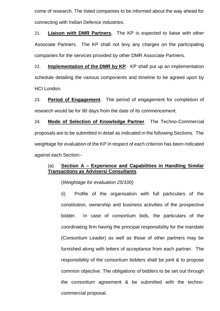come of research. The listed companies to be informed about the way ahead for connecting with Indian Defence industries.

21. **Liaison with DMR Partners.** The KP is expected to liaise with other Associate Partners. The KP shall not levy any charges on the participating companies for the services provided by other DMR Associate Partners.

22. **Implementation of the DMR by KP**. KP shall put up an implementation schedule detailing the various components and timeline to be agreed upon by HCI London.

23. **Period of Engagement**. The period of engagement for completion of research would be for 90 days from the date of its commencement.

24. **Mode of Selection of Knowledge Partner**. The Techno-Commercial proposals are to be submitted in detail as indicated in the following Sections. The weightage for evaluation of the KP in respect of each criterion has been indicated against each Section:-

## (a) **Section A – Experience and Capabilities in Handling Similar Transactions as Advisers/ Consultants**

(*Weightage for evaluation 25/100)*

(i) Profile of the organisation with full particulars of the constitution, ownership and business activities of the prospective bidder. In case of consortium bids, the particulars of the coordinating firm having the principal responsibility for the mandate (Consortium Leader) as well as those of other partners may be furnished along with letters of acceptance from each partner. The responsibility of the consortium bidders shall be joint & to propose common objective. The obligations of bidders to be set out through the consortium agreement & be submitted with the technocommercial proposal.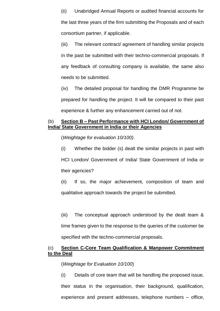(ii) Unabridged Annual Reports or audited financial accounts for the last three years of the firm submitting the Proposals and of each consortium partner, if applicable.

(iii) The relevant contract/ agreement of handling similar projects in the past be submitted with their techno-commercial proposals. If any feedback of consulting company is available, the same also needs to be submitted.

(iv) The detailed proposal for handling the DMR Programme be prepared for handling the project. It will be compared to their past experience & further any enhancement carried out of not.

#### (b) **Section B – Past Performance with HCI London/ Government of India/ State Government in India or their Agencies**

(*Weightage for evaluation 10/100)*.

(i) Whether the bidder (s) dealt the similar projects in past with HCI London/ Government of India/ State Government of India or their agencies?

(ii) If so, the major achievement, composition of team and qualitative approach towards the project be submitted.

(iii) The conceptual approach understood by the dealt team & time frames given to the response to the queries of the customer be specified with the techno-commercial proposals.

## (c) **Section C-Core Team Qualification & Manpower Commitment to the Deal**

#### (*Weightage for Evaluation 10/100*)

(i) Details of core team that will be handling the proposed issue, their status in the organisation, their background, qualification, experience and present addresses, telephone numbers – office,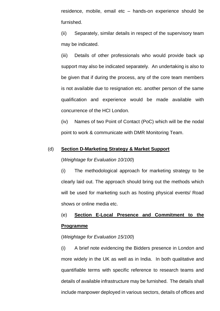residence, mobile, email etc – hands-on experience should be furnished.

(ii) Separately, similar details in respect of the supervisory team may be indicated.

(iii) Details of other professionals who would provide back up support may also be indicated separately. An undertaking is also to be given that if during the process, any of the core team members is not available due to resignation etc. another person of the same qualification and experience would be made available with concurrence of the HCI London.

(iv) Names of two Point of Contact (PoC) which will be the nodal point to work & communicate with DMR Monitoring Team.

#### (d) **Section D-Marketing Strategy & Market Support**

#### (*Weightage for Evaluation 10/100*)

(i) The methodological approach for marketing strategy to be clearly laid out. The approach should bring out the methods which will be used for marketing such as hosting physical events/ Road shows or online media etc.

# (e) **Section E-Local Presence and Commitment to the Programme**

#### (*Weightage for Evaluation 15/100*)

(i) A brief note evidencing the Bidders presence in London and more widely in the UK as well as in India. In both qualitative and quantifiable terms with specific reference to research teams and details of available infrastructure may be furnished. The details shall include manpower deployed in various sectors, details of offices and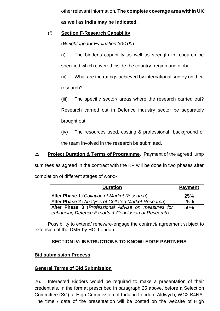other relevant information. **The complete coverage area within UK** 

**as well as India may be indicated.**

## (f) **Section F-Research Capability**

(*Weightage for Evaluation 30/100*)

(i) The bidder's capability as well as strength in research be specified which covered inside the country, region and global.

(ii) What are the ratings achieved by international survey on their

research?

(iii) The specific sector/ areas where the research carried out?

Research carried out in Defence industry sector be separately brought out.

(iv) The resources used, costing & professional background of

the team involved in the research be submitted.

25. **Project Duration & Terms of Programme**. Payment of the agreed lump

sum fees as agreed in the contract with the KP will be done in two phases after completion of different stages of work:-

| <b>Duration</b>                                      | <b>Payment</b> |
|------------------------------------------------------|----------------|
| After Phase 1 (Collation of Market Research)         | <b>25%</b>     |
| After Phase 2 (Analysis of Collated Market Research) | 25%            |
| After Phase 3 (Professional Advise on measures for   | 50%            |
| enhancing Defence Exports & Conclusion of Research)  |                |

Possibility to extend/ renew/re-engage the contract/ agreement subject to extension of the DMR by HCI London

# **SECTION IV: INSTRUCTIONS TO KNOWLEDGE PARTNERS**

## **Bid submission Process**

## **General Terms of Bid Submission**

26. Interested Bidders would be required to make a presentation of their credentials, in the format prescribed in paragraph 25 above, before a Selection Committee (SC) at High Commission of India in London, Aldwych, WC2 B4NA. The time / date of the presentation will be posted on the website of High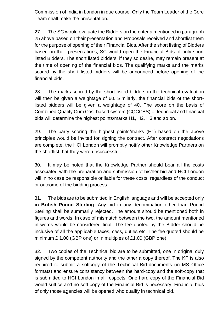Commission of India in London in due course. Only the Team Leader of the Core Team shall make the presentation.

27. The SC would evaluate the Bidders on the criteria mentioned in paragraph 25 above based on their presentation and Proposals received and shortlist them for the purpose of opening of their Financial Bids. After the short listing of Bidders based on their presentations, SC would open the Financial Bids of only short listed Bidders. The short listed bidders, if they so desire, may remain present at the time of opening of the financial bids. The qualifying marks and the marks scored by the short listed bidders will be announced before opening of the financial bids.

28. The marks scored by the short listed bidders in the technical evaluation will then be given a weightage of 60. Similarly, the financial bids of the shortlisted bidders will be given a weightage of 40. The score on the basis of Combined Quality Cum Cost based system (CQCCBS) of technical and financial bids will determine the highest points/marks H1, H2, H3 and so on.

29. The party scoring the highest points/marks (H1) based on the above principles would be invited for signing the contract. After contract negotiations are complete, the HCI London will promptly notify other Knowledge Partners on the shortlist that they were unsuccessful.

30. It may be noted that the Knowledge Partner should bear all the costs associated with the preparation and submission of his/her bid and HCI London will in no case be responsible or liable for these costs, regardless of the conduct or outcome of the bidding process.

31. The bids are to be submitted in English language and will be accepted only **in British Pound Sterling**. Any bid in any denomination other than Pound Sterling shall be summarily rejected. The amount should be mentioned both in figures and words. In case of mismatch between the two, the amount mentioned in words would be considered final. The fee quoted by the Bidder should be inclusive of all the applicable taxes, cess, duties etc. The fee quoted should be minimum £ 1.00 (GBP one) or in multiples of £1.00 (GBP one).

32. Two copies of the Technical bid are to be submitted, one in original duly signed by the competent authority and the other a copy thereof. The KP is also required to submit a softcopy of the Technical Bid-documents (in MS Office formats) and ensure consistency between the hard-copy and the soft-copy that is submitted to HCI London in all respects. One hard copy of the Financial Bid would suffice and no soft copy of the Financial Bid is necessary. Financial bids of only those agencies will be opened who qualify in technical bid.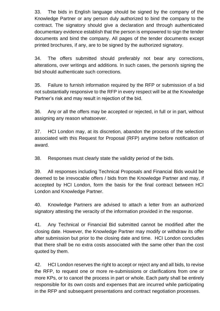33. The bids in English language should be signed by the company of the Knowledge Partner or any person duly authorized to bind the company to the contract. The signatory should give a declaration and through authenticated documentary evidence establish that the person is empowered to sign the tender documents and bind the company. All pages of the tender documents except printed brochures, if any, are to be signed by the authorized signatory.

34. The offers submitted should preferably not bear any corrections, alterations, over writings and additions. In such cases, the person/s signing the bid should authenticate such corrections.

35. Failure to furnish information required by the RFP or submission of a bid not substantially responsive to the RFP in every respect will be at the Knowledge Partner's risk and may result in rejection of the bid.

36. Any or all the offers may be accepted or rejected, in full or in part, without assigning any reason whatsoever.

37. HCI London may, at its discretion, abandon the process of the selection associated with this Request for Proposal (RFP) anytime before notification of award.

38. Responses must clearly state the validity period of the bids.

39. All responses including Technical Proposals and Financial Bids would be deemed to be irrevocable offers / bids from the Knowledge Partner and may, if accepted by HCI London, form the basis for the final contract between HCI London and Knowledge Partner.

40. Knowledge Partners are advised to attach a letter from an authorized signatory attesting the veracity of the information provided in the response.

41. Any Technical or Financial Bid submitted cannot be modified after the closing date. However, the Knowledge Partner may modify or withdraw its offer after submission but prior to the closing date and time. HCI London concludes that there shall be no extra costs associated with the same other than the cost quoted by them.

42. HCI London reserves the right to accept or reject any and all bids, to revise the RFP, to request one or more re-submissions or clarifications from one or more KPs, or to cancel the process in part or whole. Each party shall be entirely responsible for its own costs and expenses that are incurred while participating in the RFP and subsequent presentations and contract negotiation processes.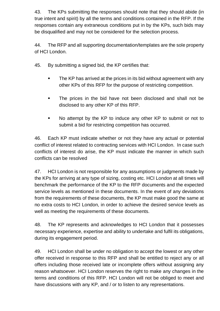43. The KPs submitting the responses should note that they should abide (in true intent and spirit) by all the terms and conditions contained in the RFP. If the responses contain any extraneous conditions put in by the KPs, such bids may be disqualified and may not be considered for the selection process.

44. The RFP and all supporting documentation/templates are the sole property of HCI London.

- 45. By submitting a signed bid, the KP certifies that:
	- **The KP has arrived at the prices in its bid without agreement with any** other KPs of this RFP for the purpose of restricting competition.
	- The prices in the bid have not been disclosed and shall not be disclosed to any other KP of this RFP.
	- No attempt by the KP to induce any other KP to submit or not to submit a bid for restricting competition has occurred.

46. Each KP must indicate whether or not they have any actual or potential conflict of interest related to contracting services with HCI London. In case such conflicts of interest do arise, the KP must indicate the manner in which such conflicts can be resolved

47. HCI London is not responsible for any assumptions or judgments made by the KPs for arriving at any type of sizing, costing etc. HCI London at all times will benchmark the performance of the KP to the RFP documents and the expected service levels as mentioned in these documents. In the event of any deviations from the requirements of these documents, the KP must make good the same at no extra costs to HCI London, in order to achieve the desired service levels as well as meeting the requirements of these documents.

48. The KP represents and acknowledges to HCI London that it possesses necessary experience, expertise and ability to undertake and fulfil its obligations, during its engagement period.

49. HCI London shall be under no obligation to accept the lowest or any other offer received in response to this RFP and shall be entitled to reject any or all offers including those received late or incomplete offers without assigning any reason whatsoever. HCI London reserves the right to make any changes in the terms and conditions of this RFP. HCI London will not be obliged to meet and have discussions with any KP, and / or to listen to any representations.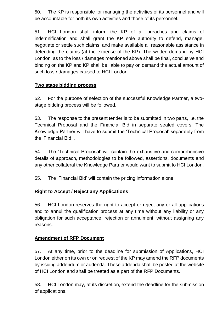50. The KP is responsible for managing the activities of its personnel and will be accountable for both its own activities and those of its personnel.

51. HCI London shall inform the KP of all breaches and claims of indemnification and shall grant the KP sole authority to defend, manage, negotiate or settle such claims; and make available all reasonable assistance in defending the claims (at the expense of the KP). The written demand by HCI London as to the loss / damages mentioned above shall be final, conclusive and binding on the KP and KP shall be liable to pay on demand the actual amount of such loss / damages caused to HCI London.

## **Two stage bidding process**

52. For the purpose of selection of the successful Knowledge Partner, a twostage bidding process will be followed.

53. The response to the present tender is to be submitted in two parts, i.e. the Technical Proposal and the Financial Bid in separate sealed covers. The Knowledge Partner will have to submit the 'Technical Proposal' separately from the 'Financial Bid '.

54. The 'Technical Proposal' will contain the exhaustive and comprehensive details of approach, methodologies to be followed, assertions, documents and any other collateral the Knowledge Partner would want to submit to HCI London.

55. The 'Financial Bid' will contain the pricing information alone.

# **Right to Accept / Reject any Applications**

56. HCI London reserves the right to accept or reject any or all applications and to annul the qualification process at any time without any liability or any obligation for such acceptance, rejection or annulment, without assigning any reasons.

## **Amendment of RFP Document**

57. At any time, prior to the deadline for submission of Applications, HCI London either on its own or on request of the KP may amend the RFP documents by issuing addendum or addenda. These addenda shall be posted at the website of HCI London and shall be treated as a part of the RFP Documents.

58. HCI London may, at its discretion, extend the deadline for the submission of applications.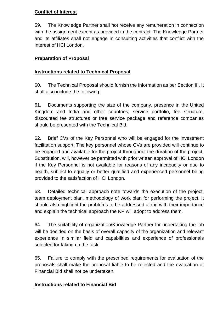# **Conflict of Interest**

59. The Knowledge Partner shall not receive any remuneration in connection with the assignment except as provided in the contract. The Knowledge Partner and its affiliates shall not engage in consulting activities that conflict with the interest of HCI London.

# **Preparation of Proposal**

## **Instructions related to Technical Proposal**

60. The Technical Proposal should furnish the information as per Section III. It shall also include the following:

61. Documents supporting the size of the company, presence in the United Kingdom and India and other countries; service portfolio, fee structure, discounted fee structures or free service package and reference companies should be presented with the Technical Bid.

62. Brief CVs of the Key Personnel who will be engaged for the investment facilitation support: The key personnel whose CVs are provided will continue to be engaged and available for the project throughout the duration of the project. Substitution, will, however be permitted with prior written approval of HCI London if the Key Personnel is not available for reasons of any incapacity or due to health, subject to equally or better qualified and experienced personnel being provided to the satisfaction of HCI London.

63. Detailed technical approach note towards the execution of the project, team deployment plan, methodology of work plan for performing the project. It should also highlight the problems to be addressed along with their importance and explain the technical approach the KP will adopt to address them.

64. The suitability of organization/Knowledge Partner for undertaking the job will be decided on the basis of overall capacity of the organization and relevant experience in similar field and capabilities and experience of professionals selected for taking up the task

65. Failure to comply with the prescribed requirements for evaluation of the proposals shall make the proposal liable to be rejected and the evaluation of Financial Bid shall not be undertaken.

# **Instructions related to Financial Bid**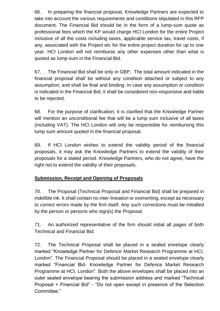66. In preparing the financial proposal, Knowledge Partners are expected to take into account the various requirements and conditions stipulated in this RFP document. The Financial Bid should be in the form of a lump-sum quote as professional fees which the KP would charge HCI London for the entire Project inclusive of all the costs including taxes, applicable service tax, travel costs, if any, associated with the Project etc for the entire project duration for up to one year. HCI London will not reimburse any other expenses other than what is quoted as lump-sum in the Financial Bid.

67. The Financial Bid shall be only in GBP. The total amount indicated in the financial proposal shall be without any condition attached or subject to any assumption, and shall be final and binding. In case any assumption or condition is indicated in the Financial Bid, it shall be considered non-responsive and liable to be rejected.

68. For the purpose of clarification, it is clarified that the Knowledge Partner will mention an unconditional fee that will be a lump sum inclusive of all taxes (including VAT). The HCI London will only be responsible for reimbursing this lump sum amount quoted in the financial proposal.

69. If HCI London wishes to extend the validity period of the financial proposals, it may ask the Knowledge Partners to extend the validity of their proposals for a stated period. Knowledge Partners, who do not agree, have the right not to extend the validity of their proposals.

# **Submission, Receipt and Opening of Proposals**

70. The Proposal (Technical Proposal and Financial Bid) shall be prepared in indelible ink. It shall contain no inter-lineation or overwriting, except as necessary to correct errors made by the firm itself. Any such corrections must be initialled by the person or persons who sign(s) the Proposal.

71. An authorized representative of the firm should initial all pages of both Technical and Financial Bid.

72. The Technical Proposal shall be placed in a sealed envelope clearly marked "Knowledge Partner for Defence Market Research Programme at HCI, London". The Financial Proposal should be placed in a sealed envelope clearly marked "Financial Bid- Knowledge Partner for Defence Market Research Programme at HCI, London". Both the above envelopes shall be placed into an outer sealed envelope bearing the submission address and marked "Technical Proposal + Financial Bid" - "Do not open except in presence of the Selection Committee."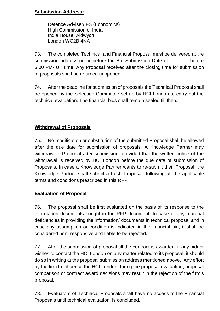## **Submission Address:**

Defence Adviser/ FS (Economics) High Commission of India India House, Aldwych London WC2B 4NA

73. The completed Technical and Financial Proposal must be delivered at the submission address on or before the Bid Submission Date of \_\_\_\_\_\_\_ before 5:00 PM- UK time. Any Proposal received after the closing time for submission of proposals shall be returned unopened.

74. After the deadline for submission of proposals the Technical Proposal shall be opened by the Selection Committee set up by HCI London to carry out the technical evaluation. The financial bids shall remain sealed till then.

# **Withdrawal of Proposals**

75. No modification or substitution of the submitted Proposal shall be allowed after the due date for submission of proposals. A Knowledge Partner may withdraw its Proposal after submission, provided that the written notice of the withdrawal is received by HCI London before the due date of submission of Proposals. In case a Knowledge Partner wants to re-submit their Proposal, the Knowledge Partner shall submit a fresh Proposal, following all the applicable terms and conditions prescribed in this RFP.

# **Evaluation of Proposal**

76. The proposal shall be first evaluated on the basis of its response to the information documents sought in the RFP document. In case of any material deficiencies in providing the information/ documents in technical proposal and in case any assumption or condition is indicated in the financial bid, it shall be considered non- responsive and liable to be rejected.

77. After the submission of proposal till the contract is awarded, if any bidder wishes to contact the HCI London on any matter related to its proposal, it should do so in writing at the proposal submission address mentioned above. Any effort by the firm to influence the HCI London during the proposal evaluation, proposal comparison or contract award decisions may result in the rejection of the firm's proposal.

78. Evaluators of Technical Proposals shall have no access to the Financial Proposals until technical evaluation, is concluded.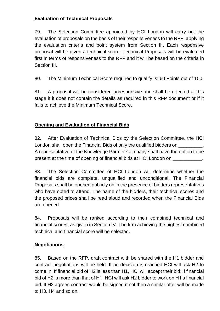# **Evaluation of Technical Proposals**

79. The Selection Committee appointed by HCI London will carry out the evaluation of proposals on the basis of their responsiveness to the RFP, applying the evaluation criteria and point system from Section III. Each responsive proposal will be given a technical score. Technical Proposals will be evaluated first in terms of responsiveness to the RFP and it will be based on the criteria in Section III.

80. The Minimum Technical Score required to qualify is: 60 Points out of 100.

81. A proposal will be considered unresponsive and shall be rejected at this stage if it does not contain the details as required in this RFP document or if it fails to achieve the Minimum Technical Score.

# **Opening and Evaluation of Financial Bids**

82. After Evaluation of Technical Bids by the Selection Committee, the HCI London shall open the Financial Bids of only the qualified bidders on \_\_\_\_\_\_\_\_\_. A representative of the Knowledge Partner Company shall have the option to be present at the time of opening of financial bids at HCI London on

83. The Selection Committee of HCI London will determine whether the financial bids are complete, unqualified and unconditional. The Financial Proposals shall be opened publicly on in the presence of bidders representatives who have opted to attend. The name of the bidders, their technical scores and the proposed prices shall be read aloud and recorded when the Financial Bids are opened.

84. Proposals will be ranked according to their combined technical and financial scores, as given in Section IV. The firm achieving the highest combined technical and financial score will be selected.

# **Negotiations**

85. Based on the RFP, draft contract with be shared with the H1 bidder and contract negotiations will be held. If no decision is reached HCI will ask H2 to come in. If financial bid of H2 is less than H1, HCI will accept their bid; if financial bid of H2 is more than that of H1, HCI will ask H2 bidder to work on H1's financial bid. If H2 agrees contract would be signed if not then a similar offer will be made to H3, H4 and so on.